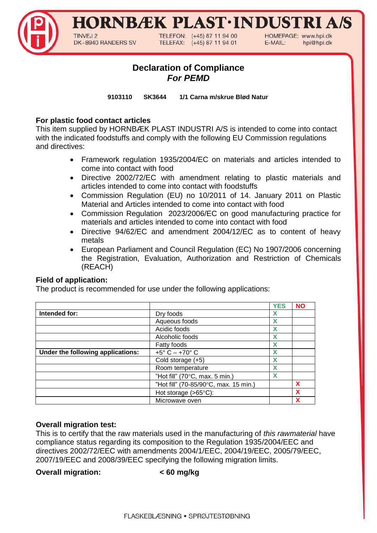## HORNBÆK PLAST·INDUSTRI A

TINVEJ 2 DK-8940 RANDERS SV TELEFON: (+45) 87 11 94 00 TELEFAX: (+45) 87 11 94 01 HOMEPAGE: www.hpi.dk E-MAIL: hpi@hpi.dk

### **Declaration of Compliance** *For PEMD*

**9103110 SK3644 1/1 Carna m/skrue Blød Natur**

### **For plastic food contact articles**

This item supplied by HORNBÆK PLAST INDUSTRI A/S is intended to come into contact with the indicated foodstuffs and comply with the following EU Commission regulations and directives:

- Framework regulation 1935/2004/EC on materials and articles intended to come into contact with food
- Directive 2002/72/EC with amendment relating to plastic materials and articles intended to come into contact with foodstuffs
- Commission Regulation (EU) no 10/2011 of 14. January 2011 on Plastic Material and Articles intended to come into contact with food
- Commission Regulation 2023/2006/EC on good manufacturing practice for materials and articles intended to come into contact with food
- Directive 94/62/EC and amendment 2004/12/EC as to content of heavy metals
- European Parliament and Council Regulation (EC) No 1907/2006 concerning the Registration, Evaluation, Authorization and Restriction of Chemicals (REACH)

### **Field of application:**

The product is recommended for use under the following applications:

|                                   |                                       | <b>YES</b> | <b>NO</b> |
|-----------------------------------|---------------------------------------|------------|-----------|
| Intended for:                     | Dry foods                             | x          |           |
|                                   | Aqueous foods                         | X          |           |
|                                   | Acidic foods                          | X          |           |
|                                   | Alcoholic foods                       |            |           |
|                                   | Fatty foods                           | Χ          |           |
| Under the following applications: | $+5^{\circ}$ C $-$ +70 $^{\circ}$ C   | X          |           |
|                                   | Cold storage (+5)                     | Х          |           |
|                                   | Room temperature                      | X          |           |
|                                   | "Hot fill" (70°C, max. 5 min.)        | X          |           |
|                                   | "Hot fill" (70-85/90°C, max. 15 min.) |            | X         |
|                                   | Hot storage $(>65^{\circ}C)$ :        |            | X         |
|                                   | Microwave oven                        |            |           |

### **Overall migration test:**

This is to certify that the raw materials used in the manufacturing of *this rawmaterial* have compliance status regarding its composition to the Regulation 1935/2004/EEC and directives 2002/72/EEC with amendments 2004/1/EEC, 2004/19/EEC, 2005/79/EEC, 2007/19/EEC and 2008/39/EEC specifying the following migration limits.

### **Overall migration: < 60 mg/kg**